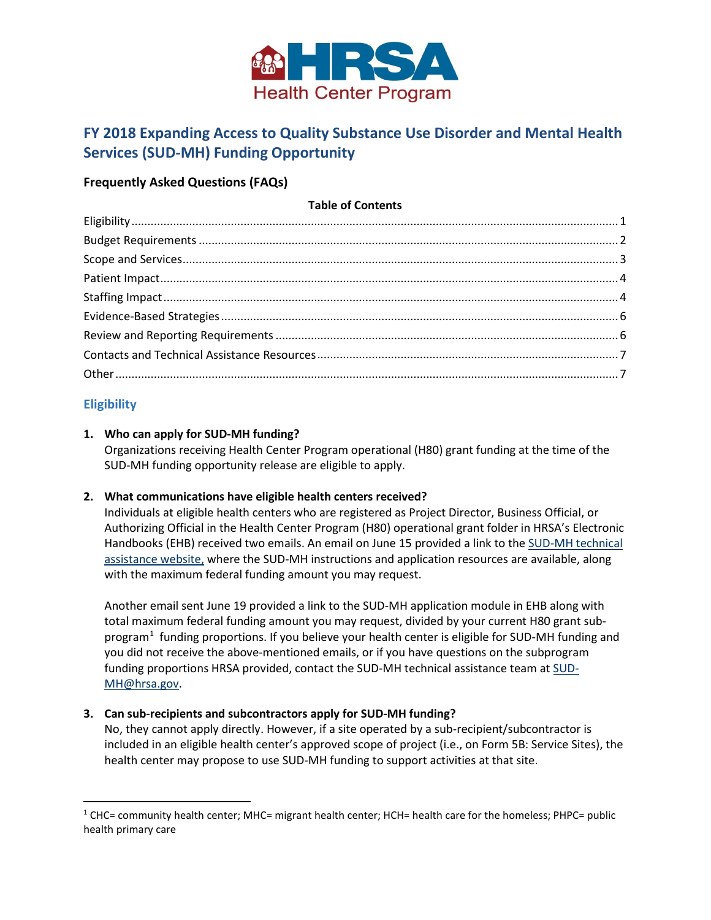

# **FY 2018 Expanding Access to Quality Substance Use Disorder and Mental Health Services (SUD-MH) Funding Opportunity**

# **Frequently Asked Questions (FAQs)**

# **Table of Contents**

# <span id="page-0-0"></span>**Eligibility**

 $\overline{\phantom{a}}$ 

# **1. Who can apply for SUD-MH funding?**

Organizations receiving Health Center Program operational (H80) grant funding at the time of the SUD-MH funding opportunity release are eligible to apply.

# **2. What communications have eligible health centers received?**

Individuals at eligible health centers who are registered as Project Director, Business Official, or Authorizing Official in the Health Center Program (H80) operational grant folder in HRSA's Electronic Handbooks (EHB) received two emails. An email on June 15 provided a link to the [SUD-MH technical](https://bphc.hrsa.gov/programopportunities/fundingopportunities/sud-mh)  [assistance website,](https://bphc.hrsa.gov/programopportunities/fundingopportunities/sud-mh) where the SUD-MH instructions and application resources are available, along with the maximum federal funding amount you may request.

Another email sent June 19 provided a link to the SUD-MH application module in EHB along with total maximum federal funding amount you may request, divided by your current H80 grant sub-program<sup>[1](#page-0-1)</sup> funding proportions. If you believe your health center is eligible for SUD-MH funding and you did not receive the above-mentioned emails, or if you have questions on the subprogram funding proportions HRSA provided, contact the SUD-MH technical assistance team at [SUD-](mailto:sud-mh@hrsa.gov)[MH@hrsa.gov.](mailto:sud-mh@hrsa.gov)

# **3. Can sub-recipients and subcontractors apply for SUD-MH funding?**

No, they cannot apply directly. However, if a site operated by a sub-recipient/subcontractor is included in an eligible health center's approved scope of project (i.e., on Form 5B: Service Sites), the health center may propose to use SUD-MH funding to support activities at that site.

<span id="page-0-1"></span> $1$  CHC= community health center; MHC= migrant health center; HCH= health care for the homeless; PHPC= public health primary care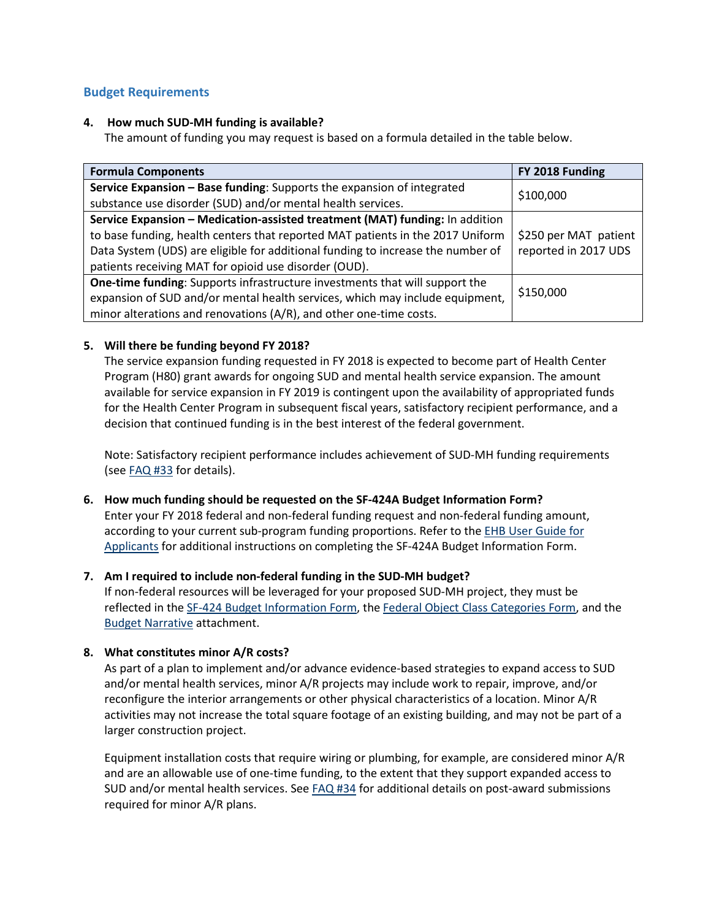# <span id="page-1-0"></span>**Budget Requirements**

#### **4. How much SUD-MH funding is available?**

The amount of funding you may request is based on a formula detailed in the table below.

| <b>Formula Components</b>                                                                                                             | FY 2018 Funding       |
|---------------------------------------------------------------------------------------------------------------------------------------|-----------------------|
| Service Expansion - Base funding: Supports the expansion of integrated<br>substance use disorder (SUD) and/or mental health services. | \$100,000             |
| Service Expansion - Medication-assisted treatment (MAT) funding: In addition                                                          |                       |
| to base funding, health centers that reported MAT patients in the 2017 Uniform                                                        | \$250 per MAT patient |
| Data System (UDS) are eligible for additional funding to increase the number of                                                       | reported in 2017 UDS  |
| patients receiving MAT for opioid use disorder (OUD).                                                                                 |                       |
| One-time funding: Supports infrastructure investments that will support the                                                           |                       |
| expansion of SUD and/or mental health services, which may include equipment,                                                          | \$150,000             |
| minor alterations and renovations (A/R), and other one-time costs.                                                                    |                       |

# **5. Will there be funding beyond FY 2018?**

The service expansion funding requested in FY 2018 is expected to become part of Health Center Program (H80) grant awards for ongoing SUD and mental health service expansion. The amount available for service expansion in FY 2019 is contingent upon the availability of appropriated funds for the Health Center Program in subsequent fiscal years, satisfactory recipient performance, and a decision that continued funding is in the best interest of the federal government.

Note: Satisfactory recipient performance includes achievement of SUD-MH funding requirements (see [FAQ #33](#page-5-2) for details).

## **6. How much funding should be requested on the SF-424A Budget Information Form?**

Enter your FY 2018 federal and non-federal funding request and non-federal funding amount, according to your current sub-program funding proportions. Refer to the [EHB User Guide for](https://bphc.hrsa.gov/programopportunities/fundingopportunities/sud-mh/fy-2018-sud-mh-user-guide.pdf)  [Applicants](https://bphc.hrsa.gov/programopportunities/fundingopportunities/sud-mh/fy-2018-sud-mh-user-guide.pdf) for additional instructions on completing the SF-424A Budget Information Form.

# **7. Am I required to include non-federal funding in the SUD-MH budget?**

If non-federal resources will be leveraged for your proposed SUD-MH project, they must be reflected in the [SF-424 Budget Information Form,](https://bphc.hrsa.gov/programopportunities/fundingopportunities/sud-mh/sf-424a-budget-information-form.pdf) the [Federal Object Class Categories Form,](https://bphc.hrsa.gov/programopportunities/fundingopportunities/sud-mh/federal-object-class-categories-form.pdf) and the [Budget Narrative](https://bphc.hrsa.gov/programopportunities/fundingopportunities/sud-mh/sud-mh-sample-budget-narrative.pdf) attachment.

## **8. What constitutes minor A/R costs?**

As part of a plan to implement and/or advance evidence-based strategies to expand access to SUD and/or mental health services, minor A/R projects may include work to repair, improve, and/or reconfigure the interior arrangements or other physical characteristics of a location. Minor A/R activities may not increase the total square footage of an existing building, and may not be part of a larger construction project.

Equipment installation costs that require wiring or plumbing, for example, are considered minor A/R and are an allowable use of one-time funding, to the extent that they support expanded access to SUD and/or mental health services. See [FAQ #34](#page-5-3) for additional details on post-award submissions required for minor A/R plans.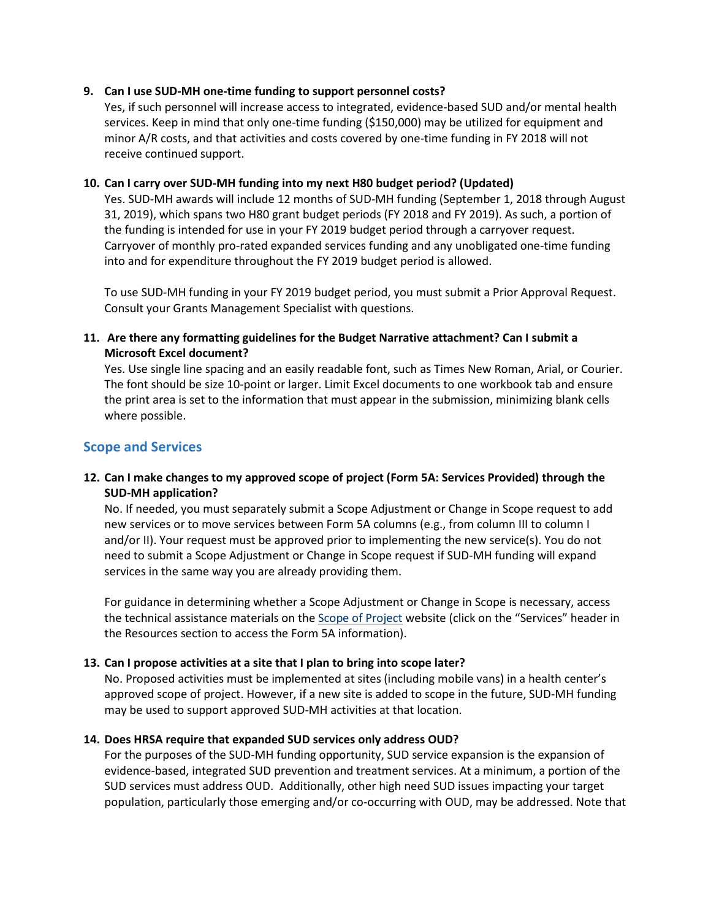#### **9. Can I use SUD-MH one-time funding to support personnel costs?**

Yes, if such personnel will increase access to integrated, evidence-based SUD and/or mental health services. Keep in mind that only one-time funding (\$150,000) may be utilized for equipment and minor A/R costs, and that activities and costs covered by one-time funding in FY 2018 will not receive continued support.

#### **10. Can I carry over SUD-MH funding into my next H80 budget period? (Updated)**

Yes. SUD-MH awards will include 12 months of SUD-MH funding (September 1, 2018 through August 31, 2019), which spans two H80 grant budget periods (FY 2018 and FY 2019). As such, a portion of the funding is intended for use in your FY 2019 budget period through a carryover request. Carryover of monthly pro-rated expanded services funding and any unobligated one-time funding into and for expenditure throughout the FY 2019 budget period is allowed.

To use SUD-MH funding in your FY 2019 budget period, you must submit a Prior Approval Request. Consult your Grants Management Specialist with questions.

# **11. Are there any formatting guidelines for the Budget Narrative attachment? Can I submit a Microsoft Excel document?**

Yes. Use single line spacing and an easily readable font, such as Times New Roman, Arial, or Courier. The font should be size 10-point or larger. Limit Excel documents to one workbook tab and ensure the print area is set to the information that must appear in the submission, minimizing blank cells where possible.

# <span id="page-2-0"></span>**Scope and Services**

# **12. Can I make changes to my approved scope of project (Form 5A: Services Provided) through the SUD-MH application?**

No. If needed, you must separately submit a Scope Adjustment or Change in Scope request to add new services or to move services between Form 5A columns (e.g., from column III to column I and/or II). Your request must be approved prior to implementing the new service(s). You do not need to submit a Scope Adjustment or Change in Scope request if SUD-MH funding will expand services in the same way you are already providing them.

For guidance in determining whether a Scope Adjustment or Change in Scope is necessary, access the technical assistance materials on the [Scope of Project](https://bphc.hrsa.gov/programrequirements/scope.html) website (click on the "Services" header in the Resources section to access the Form 5A information).

## **13. Can I propose activities at a site that I plan to bring into scope later?**

No. Proposed activities must be implemented at sites (including mobile vans) in a health center's approved scope of project. However, if a new site is added to scope in the future, SUD-MH funding may be used to support approved SUD-MH activities at that location.

#### **14. Does HRSA require that expanded SUD services only address OUD?**

For the purposes of the SUD-MH funding opportunity, SUD service expansion is the expansion of evidence-based, integrated SUD prevention and treatment services. At a minimum, a portion of the SUD services must address OUD. Additionally, other high need SUD issues impacting your target population, particularly those emerging and/or co-occurring with OUD, may be addressed. Note that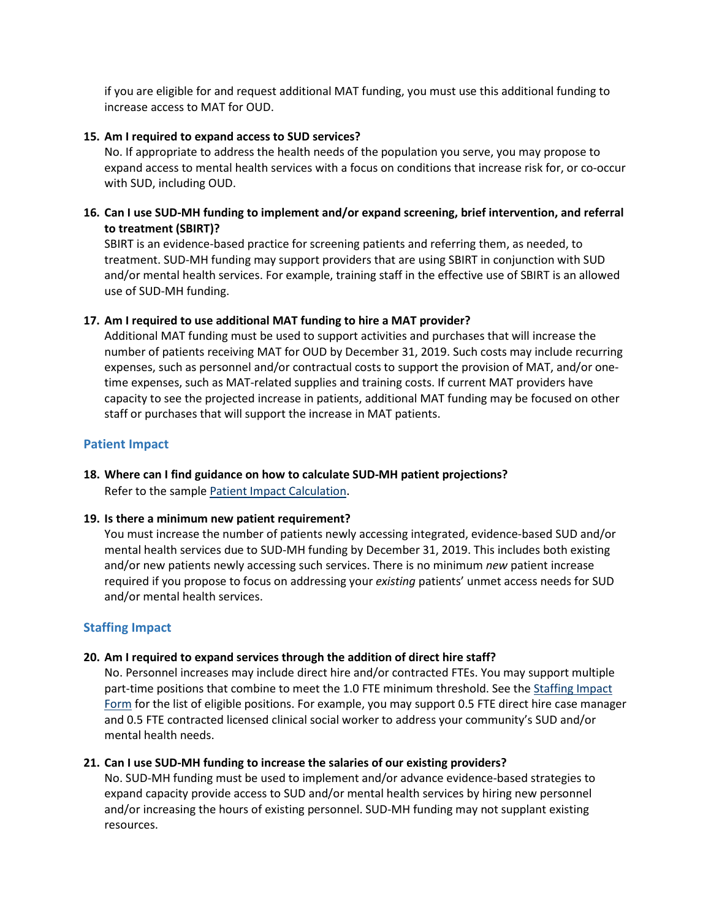if you are eligible for and request additional MAT funding, you must use this additional funding to increase access to MAT for OUD.

#### **15. Am I required to expand access to SUD services?**

No. If appropriate to address the health needs of the population you serve, you may propose to expand access to mental health services with a focus on conditions that increase risk for, or co-occur with SUD, including OUD.

## **16. Can I use SUD-MH funding to implement and/or expand screening, brief intervention, and referral to treatment (SBIRT)?**

SBIRT is an evidence-based practice for screening patients and referring them, as needed, to treatment. SUD-MH funding may support providers that are using SBIRT in conjunction with SUD and/or mental health services. For example, training staff in the effective use of SBIRT is an allowed use of SUD-MH funding.

## **17. Am I required to use additional MAT funding to hire a MAT provider?**

Additional MAT funding must be used to support activities and purchases that will increase the number of patients receiving MAT for OUD by December 31, 2019. Such costs may include recurring expenses, such as personnel and/or contractual costs to support the provision of MAT, and/or onetime expenses, such as MAT-related supplies and training costs. If current MAT providers have capacity to see the projected increase in patients, additional MAT funding may be focused on other staff or purchases that will support the increase in MAT patients.

## <span id="page-3-0"></span>**Patient Impact**

# **18. Where can I find guidance on how to calculate SUD-MH patient projections?**

Refer to the sampl[e Patient Impact Calculation.](https://bphc.hrsa.gov/programopportunities/fundingopportunities/sud-mh/sud-mh-sample-patient-projection.pdf)

## **19. Is there a minimum new patient requirement?**

You must increase the number of patients newly accessing integrated, evidence-based SUD and/or mental health services due to SUD-MH funding by December 31, 2019. This includes both existing and/or new patients newly accessing such services. There is no minimum *new* patient increase required if you propose to focus on addressing your *existing* patients' unmet access needs for SUD and/or mental health services.

# <span id="page-3-1"></span>**Staffing Impact**

## **20. Am I required to expand services through the addition of direct hire staff?**

No. Personnel increases may include direct hire and/or contracted FTEs. You may support multiple part-time positions that combine to meet the 1.0 FTE minimum threshold. See the Staffing Impact [Form](https://bphc.hrsa.gov/programopportunities/fundingopportunities/sud-mh/staffing-impact-form.pdf) for the list of eligible positions. For example, you may support 0.5 FTE direct hire case manager and 0.5 FTE contracted licensed clinical social worker to address your community's SUD and/or mental health needs.

## **21. Can I use SUD-MH funding to increase the salaries of our existing providers?**

No. SUD-MH funding must be used to implement and/or advance evidence-based strategies to expand capacity provide access to SUD and/or mental health services by hiring new personnel and/or increasing the hours of existing personnel. SUD-MH funding may not supplant existing resources.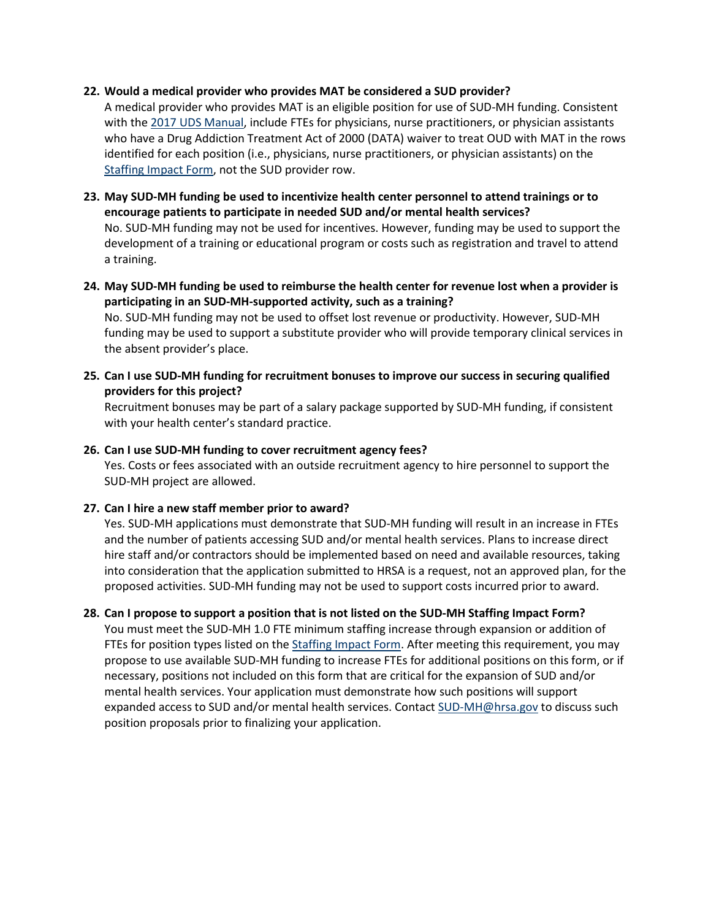#### **22. Would a medical provider who provides MAT be considered a SUD provider?**

A medical provider who provides MAT is an eligible position for use of SUD-MH funding. Consistent with the [2017 UDS Manual,](https://www.bphc.hrsa.gov/datareporting/reporting/2017udsreportingmanual.pdf) include FTEs for physicians, nurse practitioners, or physician assistants who have a Drug Addiction Treatment Act of 2000 (DATA) waiver to treat OUD with MAT in the rows identified for each position (i.e., physicians, nurse practitioners, or physician assistants) on the [Staffing Impact Form,](https://bphc.hrsa.gov/programopportunities/fundingopportunities/sud-mh/staffing-impact-form.pdf) not the SUD provider row.

**23. May SUD-MH funding be used to incentivize health center personnel to attend trainings or to encourage patients to participate in needed SUD and/or mental health services?** 

No. SUD-MH funding may not be used for incentives. However, funding may be used to support the development of a training or educational program or costs such as registration and travel to attend a training.

**24. May SUD-MH funding be used to reimburse the health center for revenue lost when a provider is participating in an SUD-MH-supported activity, such as a training?**

No. SUD-MH funding may not be used to offset lost revenue or productivity. However, SUD-MH funding may be used to support a substitute provider who will provide temporary clinical services in the absent provider's place.

**25. Can I use SUD-MH funding for recruitment bonuses to improve our success in securing qualified providers for this project?** 

Recruitment bonuses may be part of a salary package supported by SUD-MH funding, if consistent with your health center's standard practice.

#### **26. Can I use SUD-MH funding to cover recruitment agency fees?**

Yes. Costs or fees associated with an outside recruitment agency to hire personnel to support the SUD-MH project are allowed.

## **27. Can I hire a new staff member prior to award?**

Yes. SUD-MH applications must demonstrate that SUD-MH funding will result in an increase in FTEs and the number of patients accessing SUD and/or mental health services. Plans to increase direct hire staff and/or contractors should be implemented based on need and available resources, taking into consideration that the application submitted to HRSA is a request, not an approved plan, for the proposed activities. SUD-MH funding may not be used to support costs incurred prior to award.

## **28. Can I propose to support a position that is not listed on the SUD-MH Staffing Impact Form?**

You must meet the SUD-MH 1.0 FTE minimum staffing increase through expansion or addition of FTEs for position types listed on th[e Staffing Impact Form.](https://bphc.hrsa.gov/programopportunities/fundingopportunities/sud-mh/staffing-impact-form.pdf) After meeting this requirement, you may propose to use available SUD-MH funding to increase FTEs for additional positions on this form, or if necessary, positions not included on this form that are critical for the expansion of SUD and/or mental health services. Your application must demonstrate how such positions will support expanded access to SUD and/or mental health services. Contact [SUD-MH@hrsa.gov](mailto:SUD-MH@hrsa.gov) to discuss such position proposals prior to finalizing your application.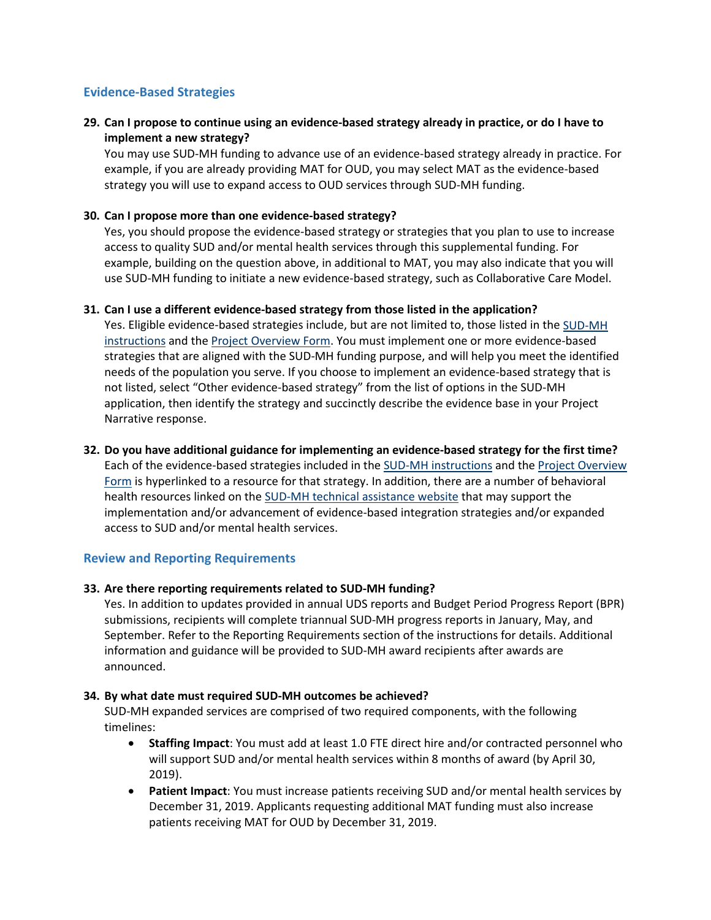# <span id="page-5-2"></span><span id="page-5-0"></span>**Evidence-Based Strategies**

# **29. Can I propose to continue using an evidence-based strategy already in practice, or do I have to implement a new strategy?**

You may use SUD-MH funding to advance use of an evidence-based strategy already in practice. For example, if you are already providing MAT for OUD, you may select MAT as the evidence-based strategy you will use to expand access to OUD services through SUD-MH funding.

#### **30. Can I propose more than one evidence-based strategy?**

Yes, you should propose the evidence-based strategy or strategies that you plan to use to increase access to quality SUD and/or mental health services through this supplemental funding. For example, building on the question above, in additional to MAT, you may also indicate that you will use SUD-MH funding to initiate a new evidence-based strategy, such as Collaborative Care Model.

#### **31. Can I use a different evidence-based strategy from those listed in the application?**

Yes. Eligible evidence-based strategies include, but are not limited to, those listed in the SUD-MH [instructions](https://grants.hrsa.gov/2010/Web2External/Interface/Common/EHBDisplayAttachment.aspx?dm_rtc=16&dm_attid=b03e5ab7-fdb3-4e6b-a3c1-68420f0f7f14) and the [Project Overview Form.](https://bphc.hrsa.gov/programopportunities/fundingopportunities/sud-mh/project-overview-form.pdf) You must implement one or more evidence-based strategies that are aligned with the SUD-MH funding purpose, and will help you meet the identified needs of the population you serve. If you choose to implement an evidence-based strategy that is not listed, select "Other evidence-based strategy" from the list of options in the SUD-MH application, then identify the strategy and succinctly describe the evidence base in your Project Narrative response.

#### **32. Do you have additional guidance for implementing an evidence-based strategy for the first time?**

Each of the evidence-based strategies included in th[e SUD-MH instructions](https://grants.hrsa.gov/2010/Web2External/Interface/Common/EHBDisplayAttachment.aspx?dm_rtc=16&dm_attid=b03e5ab7-fdb3-4e6b-a3c1-68420f0f7f14) and the [Project Overview](https://bphc.hrsa.gov/programopportunities/fundingopportunities/sud-mh/project-overview-form.pdf)  [Form](https://bphc.hrsa.gov/programopportunities/fundingopportunities/sud-mh/project-overview-form.pdf) is hyperlinked to a resource for that strategy. In addition, there are a number of behavioral health resources linked on the [SUD-MH technical assistance website](https://bphc.hrsa.gov/programopportunities/fundingopportunities/sud-mh) that may support the implementation and/or advancement of evidence-based integration strategies and/or expanded access to SUD and/or mental health services.

## <span id="page-5-1"></span>**Review and Reporting Requirements**

#### **33. Are there reporting requirements related to SUD-MH funding?**

Yes. In addition to updates provided in annual UDS reports and Budget Period Progress Report (BPR) submissions, recipients will complete triannual SUD-MH progress reports in January, May, and September. Refer to the Reporting Requirements section of the instructions for details. Additional information and guidance will be provided to SUD-MH award recipients after awards are announced.

#### <span id="page-5-3"></span>**34. By what date must required SUD-MH outcomes be achieved?**

SUD-MH expanded services are comprised of two required components, with the following timelines:

- **Staffing Impact**: You must add at least 1.0 FTE direct hire and/or contracted personnel who will support SUD and/or mental health services within 8 months of award (by April 30, 2019).
- **Patient Impact**: You must increase patients receiving SUD and/or mental health services by December 31, 2019. Applicants requesting additional MAT funding must also increase patients receiving MAT for OUD by December 31, 2019.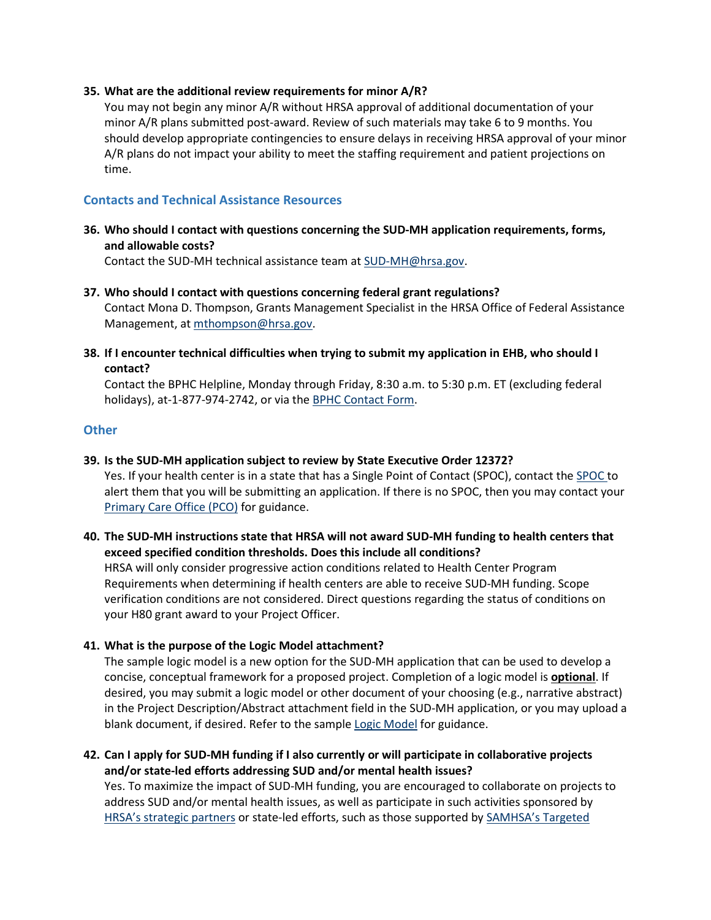#### **35. What are the additional review requirements for minor A/R?**

You may not begin any minor A/R without HRSA approval of additional documentation of your minor A/R plans submitted post-award. Review of such materials may take 6 to 9 months. You should develop appropriate contingencies to ensure delays in receiving HRSA approval of your minor A/R plans do not impact your ability to meet the staffing requirement and patient projections on time.

# <span id="page-6-0"></span>**Contacts and Technical Assistance Resources**

**36. Who should I contact with questions concerning the SUD-MH application requirements, forms, and allowable costs?** 

Contact the SUD-MH technical assistance team at [SUD-MH@hrsa.gov.](mailto:sud-mh@hrsa.gov)

- **37. Who should I contact with questions concerning federal grant regulations?** Contact Mona D. Thompson, Grants Management Specialist in the HRSA Office of Federal Assistance Management, at [mthompson@hrsa.gov.](mailto:mthompson@hrsa.gov)
- **38. If I encounter technical difficulties when trying to submit my application in EHB, who should I contact?**

Contact the BPHC Helpline, Monday through Friday, 8:30 a.m. to 5:30 p.m. ET (excluding federal holidays), at-1-877-974-2742, or via the **BPHC Contact Form**.

## <span id="page-6-1"></span>**Other**

## **39. Is the SUD-MH application subject to review by State Executive Order 12372?**

Yes. If your health center is in a state that has a Single Point of Contact (SPOC), contact th[e SPOC t](https://www.whitehouse.gov/wp-content/uploads/2017/11/SPOC-Feb.-2018.pdf)o alert them that you will be submitting an application. If there is no SPOC, then you may contact your [Primary Care Office \(PCO\)](http://bhpr.hrsa.gov/shortage/hpsas/primarycareoffices.html) for guidance.

**40. The SUD-MH instructions state that HRSA will not award SUD-MH funding to health centers that exceed specified condition thresholds. Does this include all conditions?** 

HRSA will only consider progressive action conditions related to Health Center Program Requirements when determining if health centers are able to receive SUD-MH funding. Scope verification conditions are not considered. Direct questions regarding the status of conditions on your H80 grant award to your Project Officer.

## **41. What is the purpose of the Logic Model attachment?**

The sample logic model is a new option for the SUD-MH application that can be used to develop a concise, conceptual framework for a proposed project. Completion of a logic model is **optional**. If desired, you may submit a logic model or other document of your choosing (e.g., narrative abstract) in the Project Description/Abstract attachment field in the SUD-MH application, or you may upload a blank document, if desired. Refer to the sample [Logic Model](https://bphc.hrsa.gov/programopportunities/fundingopportunities/sud-mh/sud-mh-abstract-project-description-sample-logic-model.pdf) for guidance.

**42. Can I apply for SUD-MH funding if I also currently or will participate in collaborative projects and/or state-led efforts addressing SUD and/or mental health issues?**

Yes. To maximize the impact of SUD-MH funding, you are encouraged to collaborate on projects to address SUD and/or mental health issues, as well as participate in such activities sponsored by [HRSA's strategic partners](https://bphc.hrsa.gov/qualityimprovement/strategicpartnerships/index.html) or state-led efforts, such as those supported by [SAMHSA's Targeted](https://www.samhsa.gov/grants/grant-announcements/ti-15-007)